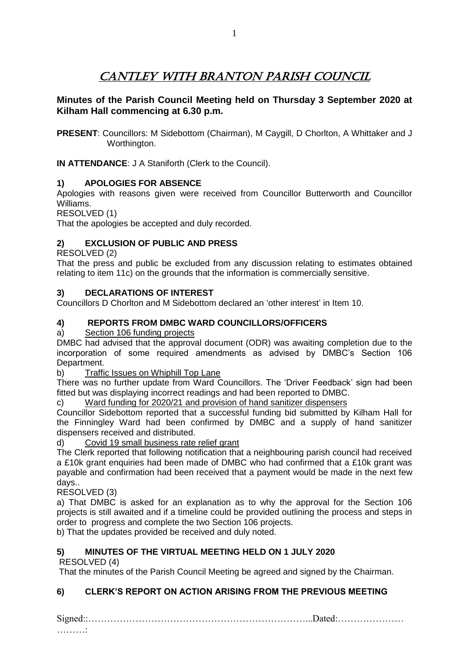**Minutes of the Parish Council Meeting held on Thursday 3 September 2020 at Kilham Hall commencing at 6.30 p.m.**

**PRESENT**: Councillors: M Sidebottom (Chairman), M Caygill, D Chorlton, A Whittaker and J Worthington.

**IN ATTENDANCE**: J A Staniforth (Clerk to the Council).

# **1) APOLOGIES FOR ABSENCE**

Apologies with reasons given were received from Councillor Butterworth and Councillor Williams.

RESOLVED (1)

That the apologies be accepted and duly recorded.

# **2) EXCLUSION OF PUBLIC AND PRESS**

RESOLVED (2)

That the press and public be excluded from any discussion relating to estimates obtained relating to item 11c) on the grounds that the information is commercially sensitive.

# **3) DECLARATIONS OF INTEREST**

Councillors D Chorlton and M Sidebottom declared an 'other interest' in Item 10.

# **4) REPORTS FROM DMBC WARD COUNCILLORS/OFFICERS**

a) Section 106 funding projects

DMBC had advised that the approval document (ODR) was awaiting completion due to the incorporation of some required amendments as advised by DMBC's Section 106 Department.

b) Traffic Issues on Whiphill Top Lane

There was no further update from Ward Councillors. The 'Driver Feedback' sign had been fitted but was displaying incorrect readings and had been reported to DMBC.

c) Ward funding for 2020/21 and provision of hand sanitizer dispensers

Councillor Sidebottom reported that a successful funding bid submitted by Kilham Hall for the Finningley Ward had been confirmed by DMBC and a supply of hand sanitizer dispensers received and distributed.

d) Covid 19 small business rate relief grant

The Clerk reported that following notification that a neighbouring parish council had received a £10k grant enquiries had been made of DMBC who had confirmed that a £10k grant was payable and confirmation had been received that a payment would be made in the next few days..

RESOLVED (3)

a) That DMBC is asked for an explanation as to why the approval for the Section 106 projects is still awaited and if a timeline could be provided outlining the process and steps in order to progress and complete the two Section 106 projects.

b) That the updates provided be received and duly noted.

# **5) MINUTES OF THE VIRTUAL MEETING HELD ON 1 JULY 2020**

RESOLVED (4)

That the minutes of the Parish Council Meeting be agreed and signed by the Chairman.

# **6) CLERK'S REPORT ON ACTION ARISING FROM THE PREVIOUS MEETING**

Signed::……………………………………………………………...Dated:…………………

…………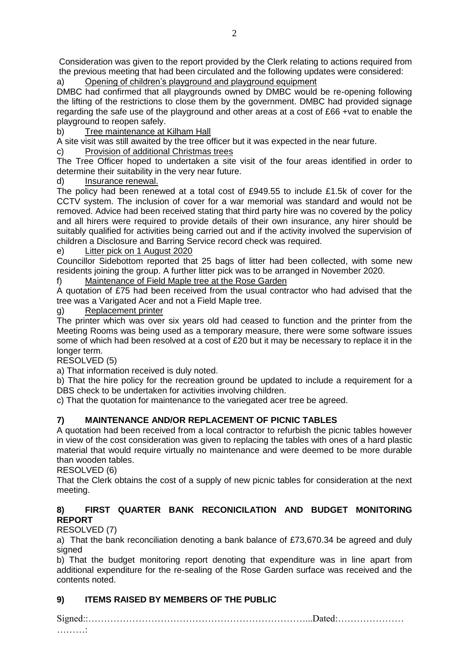Consideration was given to the report provided by the Clerk relating to actions required from the previous meeting that had been circulated and the following updates were considered:

Opening of children's playground and playground equipment

DMBC had confirmed that all playgrounds owned by DMBC would be re-opening following the lifting of the restrictions to close them by the government. DMBC had provided signage regarding the safe use of the playground and other areas at a cost of £66 +vat to enable the playground to reopen safely.

b) Tree maintenance at Kilham Hall

A site visit was still awaited by the tree officer but it was expected in the near future.

c) Provision of additional Christmas trees

The Tree Officer hoped to undertaken a site visit of the four areas identified in order to determine their suitability in the very near future.

d) Insurance renewal.

The policy had been renewed at a total cost of £949.55 to include £1.5k of cover for the CCTV system. The inclusion of cover for a war memorial was standard and would not be removed. Advice had been received stating that third party hire was no covered by the policy and all hirers were required to provide details of their own insurance, any hirer should be suitably qualified for activities being carried out and if the activity involved the supervision of children a Disclosure and Barring Service record check was required.

e) Litter pick on 1 August 2020

Councillor Sidebottom reported that 25 bags of litter had been collected, with some new residents joining the group. A further litter pick was to be arranged in November 2020.

f) Maintenance of Field Maple tree at the Rose Garden

A quotation of £75 had been received from the usual contractor who had advised that the tree was a Varigated Acer and not a Field Maple tree.

Replacement printer

The printer which was over six years old had ceased to function and the printer from the Meeting Rooms was being used as a temporary measure, there were some software issues some of which had been resolved at a cost of £20 but it may be necessary to replace it in the longer term.

RESOLVED (5)

a) That information received is duly noted.

b) That the hire policy for the recreation ground be updated to include a requirement for a DBS check to be undertaken for activities involving children.

c) That the quotation for maintenance to the variegated acer tree be agreed.

# **7) MAINTENANCE AND/OR REPLACEMENT OF PICNIC TABLES**

A quotation had been received from a local contractor to refurbish the picnic tables however in view of the cost consideration was given to replacing the tables with ones of a hard plastic material that would require virtually no maintenance and were deemed to be more durable than wooden tables.

RESOLVED (6)

That the Clerk obtains the cost of a supply of new picnic tables for consideration at the next meeting.

#### **8) FIRST QUARTER BANK RECONICILATION AND BUDGET MONITORING REPORT**

#### RESOLVED (7)

a) That the bank reconciliation denoting a bank balance of £73,670.34 be agreed and duly signed

b) That the budget monitoring report denoting that expenditure was in line apart from additional expenditure for the re-sealing of the Rose Garden surface was received and the contents noted.

# **9) ITEMS RAISED BY MEMBERS OF THE PUBLIC**

Signed::……………………………………………………………...Dated:…………………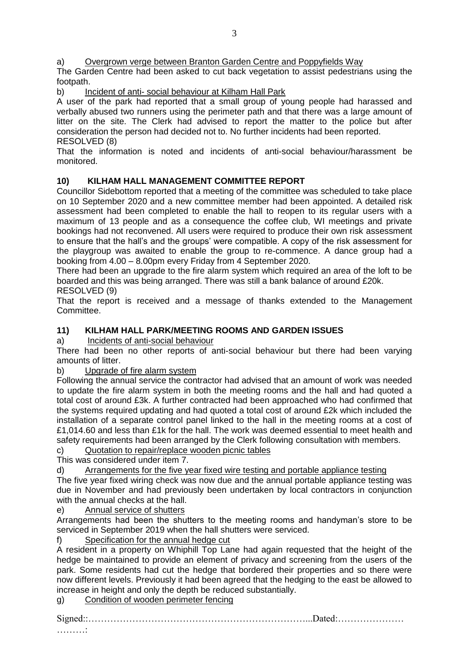a) Overgrown verge between Branton Garden Centre and Poppyfields Way

The Garden Centre had been asked to cut back vegetation to assist pedestrians using the footpath.

b) Incident of anti- social behaviour at Kilham Hall Park

A user of the park had reported that a small group of young people had harassed and verbally abused two runners using the perimeter path and that there was a large amount of litter on the site. The Clerk had advised to report the matter to the police but after consideration the person had decided not to. No further incidents had been reported. RESOLVED (8)

That the information is noted and incidents of anti-social behaviour/harassment be monitored.

#### **10) KILHAM HALL MANAGEMENT COMMITTEE REPORT**

Councillor Sidebottom reported that a meeting of the committee was scheduled to take place on 10 September 2020 and a new committee member had been appointed. A detailed risk assessment had been completed to enable the hall to reopen to its regular users with a maximum of 13 people and as a consequence the coffee club, WI meetings and private bookings had not reconvened. All users were required to produce their own risk assessment to ensure that the hall's and the groups' were compatible. A copy of the risk assessment for the playgroup was awaited to enable the group to re-commence. A dance group had a booking from 4.00 – 8.00pm every Friday from 4 September 2020.

There had been an upgrade to the fire alarm system which required an area of the loft to be boarded and this was being arranged. There was still a bank balance of around £20k.

#### RESOLVED (9)

That the report is received and a message of thanks extended to the Management Committee.

#### **11) KILHAM HALL PARK/MEETING ROOMS AND GARDEN ISSUES**

a) Incidents of anti-social behaviour

There had been no other reports of anti-social behaviour but there had been varying amounts of litter.

#### b) Upgrade of fire alarm system

Following the annual service the contractor had advised that an amount of work was needed to update the fire alarm system in both the meeting rooms and the hall and had quoted a total cost of around £3k. A further contracted had been approached who had confirmed that the systems required updating and had quoted a total cost of around £2k which included the installation of a separate control panel linked to the hall in the meeting rooms at a cost of £1,014.60 and less than £1k for the hall. The work was deemed essential to meet health and safety requirements had been arranged by the Clerk following consultation with members.

c) Quotation to repair/replace wooden picnic tables

This was considered under item 7.

d) Arrangements for the five year fixed wire testing and portable appliance testing

The five year fixed wiring check was now due and the annual portable appliance testing was due in November and had previously been undertaken by local contractors in conjunction with the annual checks at the hall.

e) Annual service of shutters

Arrangements had been the shutters to the meeting rooms and handyman's store to be serviced in September 2019 when the hall shutters were serviced.

f) Specification for the annual hedge cut

A resident in a property on Whiphill Top Lane had again requested that the height of the hedge be maintained to provide an element of privacy and screening from the users of the park. Some residents had cut the hedge that bordered their properties and so there were now different levels. Previously it had been agreed that the hedging to the east be allowed to increase in height and only the depth be reduced substantially.

g) Condition of wooden perimeter fencing

Signed::……………………………………………………………...Dated:…………………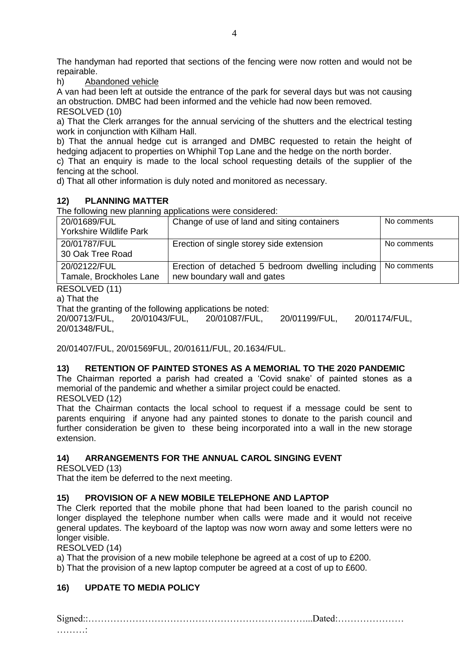The handyman had reported that sections of the fencing were now rotten and would not be repairable.

h) Abandoned vehicle

A van had been left at outside the entrance of the park for several days but was not causing an obstruction. DMBC had been informed and the vehicle had now been removed. RESOLVED (10)

a) That the Clerk arranges for the annual servicing of the shutters and the electrical testing work in conjunction with Kilham Hall.

b) That the annual hedge cut is arranged and DMBC requested to retain the height of hedging adjacent to properties on Whiphil Top Lane and the hedge on the north border. c) That an enquiry is made to the local school requesting details of the supplier of the fencing at the school.

d) That all other information is duly noted and monitored as necessary.

#### **12) PLANNING MATTER**

The following new planning applications were considered:

| 20/01689/FUL<br>Yorkshire Wildlife Park | Change of use of land and siting containers                                      | No comments |
|-----------------------------------------|----------------------------------------------------------------------------------|-------------|
| 20/01787/FUL<br>30 Oak Tree Road        | Erection of single storey side extension                                         | No comments |
| 20/02122/FUL<br>Tamale, Brockholes Lane | Erection of detached 5 bedroom dwelling including<br>new boundary wall and gates | No comments |

RESOLVED (11)

a) That the

That the granting of the following applications be noted:

20/00713/FUL, 20/01043/FUL, 20/01087/FUL, 20/01199/FUL, 20/01174/FUL, 20/01348/FUL,

20/01407/FUL, 20/01569FUL, 20/01611/FUL, 20.1634/FUL.

#### **13) RETENTION OF PAINTED STONES AS A MEMORIAL TO THE 2020 PANDEMIC**

The Chairman reported a parish had created a 'Covid snake' of painted stones as a memorial of the pandemic and whether a similar project could be enacted.

RESOLVED (12)

That the Chairman contacts the local school to request if a message could be sent to parents enquiring if anyone had any painted stones to donate to the parish council and further consideration be given to these being incorporated into a wall in the new storage extension.

# **14) ARRANGEMENTS FOR THE ANNUAL CAROL SINGING EVENT**

RESOLVED (13)

That the item be deferred to the next meeting.

#### **15) PROVISION OF A NEW MOBILE TELEPHONE AND LAPTOP**

The Clerk reported that the mobile phone that had been loaned to the parish council no longer displayed the telephone number when calls were made and it would not receive general updates. The keyboard of the laptop was now worn away and some letters were no longer visible.

RESOLVED (14)

a) That the provision of a new mobile telephone be agreed at a cost of up to £200.

b) That the provision of a new laptop computer be agreed at a cost of up to £600.

#### **16) UPDATE TO MEDIA POLICY**

Signed::……………………………………………………………...Dated:…………………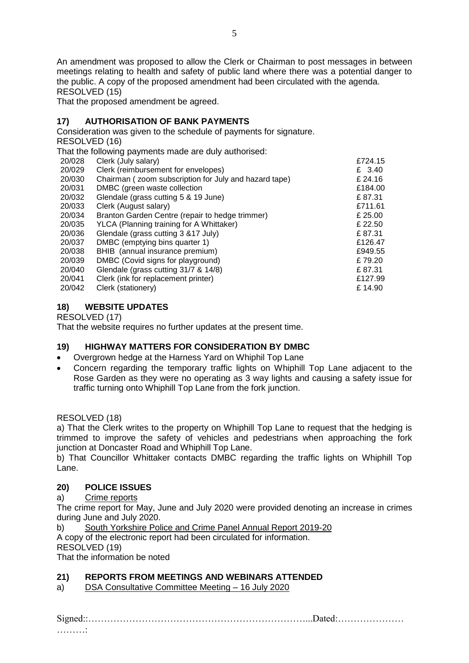An amendment was proposed to allow the Clerk or Chairman to post messages in between meetings relating to health and safety of public land where there was a potential danger to the public. A copy of the proposed amendment had been circulated with the agenda. RESOLVED (15)

That the proposed amendment be agreed.

# **17) AUTHORISATION OF BANK PAYMENTS**

Consideration was given to the schedule of payments for signature.

RESOLVED (16)

That the following payments made are duly authorised:<br>20/028 Clerk (July salary)

2724.15 Clerk (July salary) **Example 2008** Clerk (July salary) 20/029 Clerk (reimbursement for envelopes) £ 3.40 20/030 Chairman ( zoom subscription for July and hazard tape) £ 24.16 20/031 DMBC (green waste collection  $£184.00$ 20/032 Glendale (grass cutting 5 & 19 June) £ 87.31 20/033 Clerk (August salary) £711.61 20/034 Branton Garden Centre (repair to hedge trimmer)  $£ 25.00$ 20/035 YLCA (Planning training for A Whittaker)  $\epsilon$  22.50 20/036 Glendale (grass cutting 3 &17 July)  $\qquad \qquad$  E 87.31  $\qquad$  20/037 DMBC (emptying bins quarter 1)  $\qquad \qquad$  £126.47 DMBC (emptying bins quarter 1)  $£126.47$ 20/038 BHIB (annual insurance premium) £949.55 20/039 DMBC (Covid signs for playground) £ 79.20 20/040 Glendale (grass cutting 31/7 & 14/8) £ 87.31 20/041 Clerk (ink for replacement printer) £127.99 20/042 Clerk (stationery) £ 14.90

# **18) WEBSITE UPDATES**

RESOLVED (17)

That the website requires no further updates at the present time.

# **19) HIGHWAY MATTERS FOR CONSIDERATION BY DMBC**

- Overgrown hedge at the Harness Yard on Whiphil Top Lane
- Concern regarding the temporary traffic lights on Whiphill Top Lane adjacent to the Rose Garden as they were no operating as 3 way lights and causing a safety issue for traffic turning onto Whiphill Top Lane from the fork junction.

RESOLVED (18)

a) That the Clerk writes to the property on Whiphill Top Lane to request that the hedging is trimmed to improve the safety of vehicles and pedestrians when approaching the fork junction at Doncaster Road and Whiphill Top Lane.

b) That Councillor Whittaker contacts DMBC regarding the traffic lights on Whiphill Top Lane.

# **20) POLICE ISSUES**

a) Crime reports

The crime report for May, June and July 2020 were provided denoting an increase in crimes during June and July 2020.

b) South Yorkshire Police and Crime Panel Annual Report 2019-20 A copy of the electronic report had been circulated for information. RESOLVED (19)

That the information be noted

# **21) REPORTS FROM MEETINGS AND WEBINARS ATTENDED**

a) DSA Consultative Committee Meeting – 16 July 2020

Signed::……………………………………………………………...Dated:…………………

………: